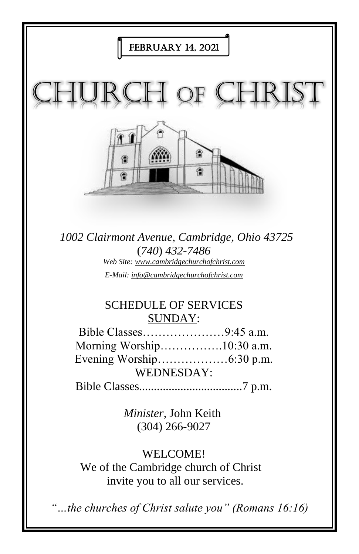

*E-Mail: info@cambridgechurchofchrist.com*

# SCHEDULE OF SERVICES SUNDAY:

Bible Classes…………………9:45 a.m. Morning Worship…………….10:30 a.m. Evening Worship………………6:30 p.m. WEDNESDAY: Bible Classes...................................7 p.m.

> *Minister,* John Keith (304) 266-9027

# WELCOME!

We of the Cambridge church of Christ invite you to all our services.

*"…the churches of Christ salute you" (Romans 16:16)*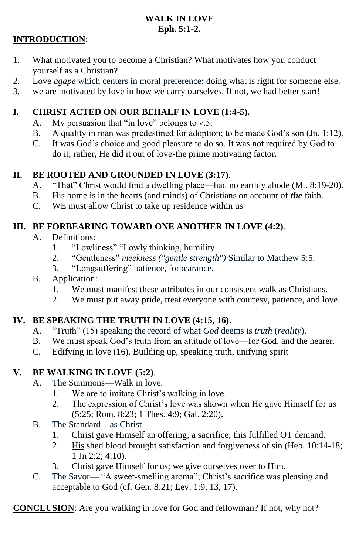#### **WALK IN LOVE Eph. 5:1-2.**

#### **INTRODUCTION**:

- 1. What motivated you to become a Christian? What motivates how you conduct yourself as a Christian?
- 2. Love *agape* which centers in moral preference; doing what is right for someone else.
- 3. we are motivated by love in how we carry ourselves. If not, we had better start!

#### **I. CHRIST ACTED ON OUR BEHALF IN LOVE (1:4-5).**

- A. My persuasion that "in love" belongs to v.5.
- B. A quality in man was predestined for adoption; to be made God's son (Jn. 1:12).
- C. It was God's choice and good pleasure to do so. It was not required by God to do it; rather, He did it out of love-the prime motivating factor.

### **II. BE ROOTED AND GROUNDED IN LOVE (3:17)**.

- A. "That" Christ would find a dwelling place—had no earthly abode (Mt. 8:19-20).
- B. His home is in the hearts (and minds) of Christians on account of *the* faith.
- C. WE must allow Christ to take up residence within us

#### **III. BE FORBEARING TOWARD ONE ANOTHER IN LOVE (4:2)**.

- A. Definitions:
	- 1. "Lowliness" "Lowly thinking, humility
	- 2. "Gentleness" *meekness ("gentle strength")* Similar to Matthew 5:5.
	- 3. "Longsuffering" patience, forbearance.
- B. Application:
	- 1. We must manifest these attributes in our consistent walk as Christians.
	- 2. We must put away pride, treat everyone with courtesy, patience, and love.

## **IV. BE SPEAKING THE TRUTH IN LOVE (4:15, 16)**.

- A. "Truth" (15) speaking the record of what *God* deems is *truth* (*reality*).
- B. We must speak God's truth from an attitude of love—for God, and the hearer.
- C. Edifying in love (16). Building up, speaking truth, unifying spirit

## **V. BE WALKING IN LOVE (5:2)**.

- A. The Summons—Walk in love.
	- 1. We are to imitate Christ's walking in love.
	- 2. The expression of Christ's love was shown when He gave Himself for us (5:25; Rom. 8:23; 1 Thes. 4:9; Gal. 2:20).
- B. The Standard—as Christ.
	- 1. Christ gave Himself an offering, a sacrifice; this fulfilled OT demand.
	- 2. His shed blood brought satisfaction and forgiveness of sin (Heb. 10:14-18; 1 Jn 2:2; 4:10).
	- 3. Christ gave Himself for us; we give ourselves over to Him.
- C. The Savor— "A sweet-smelling aroma"; Christ's sacrifice was pleasing and acceptable to God (cf. Gen. 8:21; Lev. 1:9, 13, 17).

**CONCLUSION**: Are you walking in love for God and fellowman? If not, why not?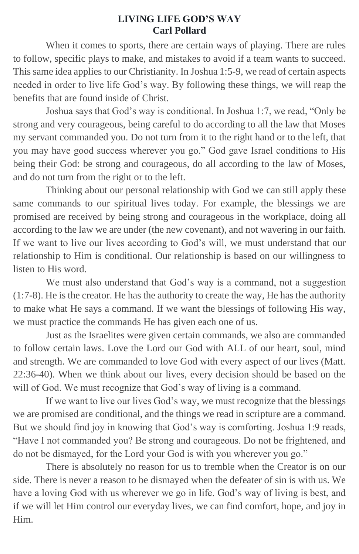#### **LIVING LIFE GOD'S WAY Carl Pollard**

When it comes to sports, there are certain ways of playing. There are rules to follow, specific plays to make, and mistakes to avoid if a team wants to succeed. This same idea applies to our Christianity. In Joshua 1:5-9, we read of certain aspects needed in order to live life God's way. By following these things, we will reap the benefits that are found inside of Christ.

Joshua says that God's way is conditional. In Joshua 1:7, we read, "Only be strong and very courageous, being careful to do according to all the law that Moses my servant commanded you. Do not turn from it to the right hand or to the left, that you may have good success wherever you go." God gave Israel conditions to His being their God: be strong and courageous, do all according to the law of Moses, and do not turn from the right or to the left.

Thinking about our personal relationship with God we can still apply these same commands to our spiritual lives today. For example, the blessings we are promised are received by being strong and courageous in the workplace, doing all according to the law we are under (the new covenant), and not wavering in our faith. If we want to live our lives according to God's will, we must understand that our relationship to Him is conditional. Our relationship is based on our willingness to listen to His word.

We must also understand that God's way is a command, not a suggestion (1:7-8). He is the creator. He has the authority to create the way, He has the authority to make what He says a command. If we want the blessings of following His way, we must practice the commands He has given each one of us.

Just as the Israelites were given certain commands, we also are commanded to follow certain laws. Love the Lord our God with ALL of our heart, soul, mind and strength. We are commanded to love God with every aspect of our lives (Matt. 22:36-40). When we think about our lives, every decision should be based on the will of God. We must recognize that God's way of living is a command.

If we want to live our lives God's way, we must recognize that the blessings we are promised are conditional, and the things we read in scripture are a command. But we should find joy in knowing that God's way is comforting. Joshua 1:9 reads, "Have I not commanded you? Be strong and courageous. Do not be frightened, and do not be dismayed, for the Lord your God is with you wherever you go."

There is absolutely no reason for us to tremble when the Creator is on our side. There is never a reason to be dismayed when the defeater of sin is with us. We have a loving God with us wherever we go in life. God's way of living is best, and if we will let Him control our everyday lives, we can find comfort, hope, and joy in Him.